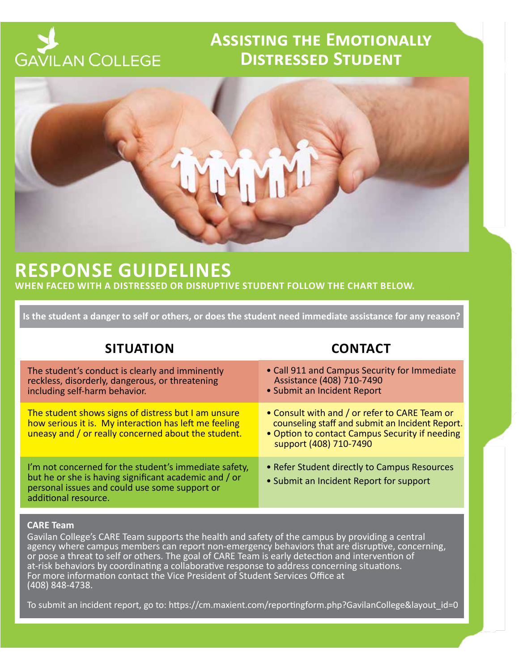# **GAVILAN COLLEGE**

## **Assisting the Emotionally Distressed Student**



## **RESPONSE GUIDELINES**

**WHEN FACED WITH A DISTRESSED OR DISRUPTIVE STUDENT FOLLOW THE CHART BELOW.**

**Is the student a danger to self or others, or does the student need immediate assistance for any reason?**

## **SITUATION CONTACT**

| The student's conduct is clearly and imminently<br>reckless, disorderly, dangerous, or threatening<br>including self-harm behavior.                                                     | • Call 911 and Campus Security for Immediate<br>Assistance (408) 710-7490<br>• Submit an Incident Report                                                                     |
|-----------------------------------------------------------------------------------------------------------------------------------------------------------------------------------------|------------------------------------------------------------------------------------------------------------------------------------------------------------------------------|
| The student shows signs of distress but I am unsure<br>how serious it is. My interaction has left me feeling<br>uneasy and / or really concerned about the student.                     | • Consult with and / or refer to CARE Team or<br>counseling staff and submit an Incident Report.<br>• Option to contact Campus Security if needing<br>support (408) 710-7490 |
| I'm not concerned for the student's immediate safety,<br>but he or she is having significant academic and / or<br>personal issues and could use some support or<br>additional resource. | • Refer Student directly to Campus Resources<br>• Submit an Incident Report for support                                                                                      |

#### **CARE Team**

Gavilan College's CARE Team supports the health and safety of the campus by providing a central agency where campus members can report non-emergency behaviors that are disruptive, concerning, or pose a threat to self or others. The goal of CARE Team is early detection and intervention of at-risk behaviors by coordinating a collaborative response to address concerning situations. For more information contact the Vice President of Student Services Office at (408) 848-4738.

To submit an incident report, go to: https://cm.maxient.com/reportingform.php?GavilanCollege&layout\_id=0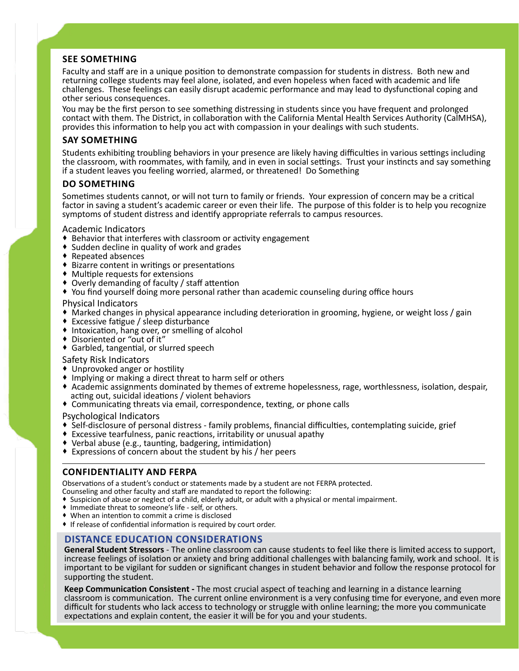#### **SEE SOMETHING**

Faculty and staff are in a unique position to demonstrate compassion for students in distress. Both new and returning college students may feel alone, isolated, and even hopeless when faced with academic and life challenges. These feelings can easily disrupt academic performance and may lead to dysfunctional coping and other serious consequences.

You may be the first person to see something distressing in students since you have frequent and prolonged contact with them. The District, in collaboration with the California Mental Health Services Authority (CalMHSA), provides this information to help you act with compassion in your dealings with such students.

#### **SAY SOMETHING**

Students exhibiting troubling behaviors in your presence are likely having difficulties in various settings including the classroom, with roommates, with family, and in even in social settings. Trust your instincts and say something if a student leaves you feeling worried, alarmed, or threatened! Do Something

#### **DO SOMETHING**

Sometimes students cannot, or will not turn to family or friends. Your expression of concern may be a critical factor in saving a student's academic career or even their life. The purpose of this folder is to help you recognize symptoms of student distress and identify appropriate referrals to campus resources.

Academic Indicators

- ◆ Behavior that interferes with classroom or activity engagement
- Sudden decline in quality of work and grades
- ◆ Repeated absences
- Bizarre content in writings or presentations
- Multiple requests for extensions
- Overly demanding of faculty / staff attention
- You find yourself doing more personal rather than academic counseling during office hours

Physical Indicators

- Marked changes in physical appearance including deterioration in grooming, hygiene, or weight loss / gain
- Excessive fatigue / sleep disturbance
- ◆ Intoxication, hang over, or smelling of alcohol
- Disoriented or "out of it"
- Garbled, tangential, or slurred speech
- Safety Risk Indicators
- Unprovoked anger or hostility
- Implying or making a direct threat to harm self or others
- Academic assignments dominated by themes of extreme hopelessness, rage, worthlessness, isolation, despair, acting out, suicidal ideations / violent behaviors
- Communicating threats via email, correspondence, texting, or phone calls

Psychological Indicators

- Self-disclosure of personal distress family problems, financial difficulties, contemplating suicide, grief
- Excessive tearfulness, panic reactions, irritability or unusual apathy
- Verbal abuse (e.g., taunting, badgering, intimidation)
- Expressions of concern about the student by his / her peers  $\overline{a}$

#### $\overline{\phantom{a}}$ **CONFIDENTIALITY AND FERPA**

Observations of a student's conduct or statements made by a student are not FERPA protected.

Counseling and other faculty and staff are mandated to report the following:

- Suspicion of abuse or neglect of a child, elderly adult, or adult with a physical or mental impairment.
- Immediate threat to someone's life self, or others.
- When an intention to commit a crime is disclosed
- If release of confidential information is required by court order.

#### **DISTANCE EDUCATION CONSIDERATIONS**

**General Student Stressors** - The online classroom can cause students to feel like there is limited access to support, increase feelings of isolation or anxiety and bring additional challenges with balancing family, work and school. It is important to be vigilant for sudden or significant changes in student behavior and follow the response protocol for supporting the student.

**Keep Communication Consistent -** The most crucial aspect of teaching and learning in a distance learning classroom is communication. The current online environment is a very confusing time for everyone, and even more difficult for students who lack access to technology or struggle with online learning; the more you communicate expectations and explain content, the easier it will be for you and your students.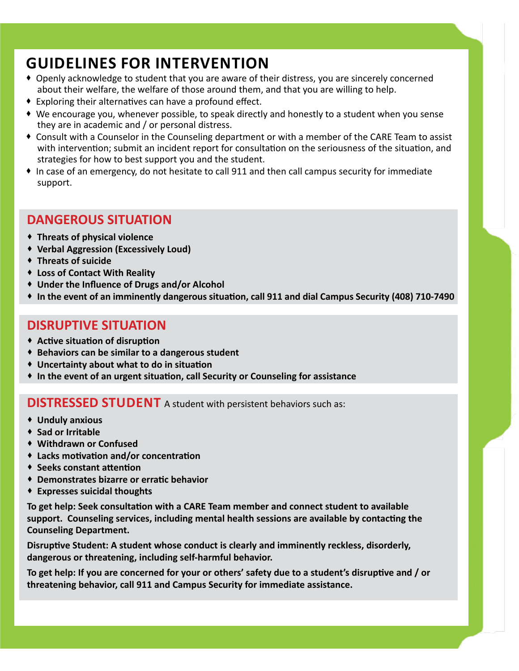## **GUIDELINES FOR INTERVENTION**

- Openly acknowledge to student that you are aware of their distress, you are sincerely concerned about their welfare, the welfare of those around them, and that you are willing to help.
- Exploring their alternatives can have a profound effect.
- We encourage you, whenever possible, to speak directly and honestly to a student when you sense they are in academic and / or personal distress.
- Consult with a Counselor in the Counseling department or with a member of the CARE Team to assist with intervention; submit an incident report for consultation on the seriousness of the situation, and strategies for how to best support you and the student.
- In case of an emergency, do not hesitate to call 911 and then call campus security for immediate support.

## **DANGEROUS SITUATION**

- **Threats of physical violence**
- **Verbal Aggression (Excessively Loud)**
- **Threats of suicide**
- **Loss of Contact With Reality**
- **Under the Influence of Drugs and/or Alcohol**
- **In the event of an imminently dangerous situation, call 911 and dial Campus Security (408) 710-7490**

## **DISRUPTIVE SITUATION**

- **Active situation of disruption**
- **Behaviors can be similar to a dangerous student**
- **Uncertainty about what to do in situation**
- **In the event of an urgent situation, call Security or Counseling for assistance**

**DISTRESSED STUDENT** A student with persistent behaviors such as:

- **Unduly anxious**
- **Sad or Irritable**
- **Withdrawn or Confused**
- **Lacks motivation and/or concentration**
- **Seeks constant attention**
- **Demonstrates bizarre or erratic behavior**
- **Expresses suicidal thoughts**

**To get help: Seek consultation with a CARE Team member and connect student to available support. Counseling services, including mental health sessions are available by contacting the Counseling Department.**

**Disruptive Student: A student whose conduct is clearly and imminently reckless, disorderly, dangerous or threatening, including self-harmful behavior.** 

**To get help: If you are concerned for your or others' safety due to a student's disruptive and / or threatening behavior, call 911 and Campus Security for immediate assistance.**